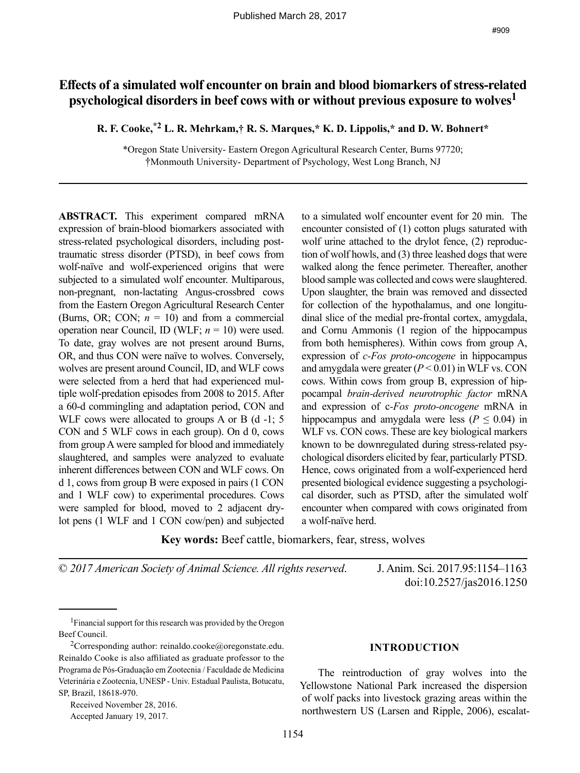# **Effects of a simulated wolf encounter on brain and blood biomarkers of stress-related psychological disorders in beef cows with or without previous exposure to wolves1**

**R. F. Cooke,\*2 L. R. Mehrkam,† R. S. Marques,\* K. D. Lippolis,\* and D. W. Bohnert\***

\*Oregon State University- Eastern Oregon Agricultural Research Center, Burns 97720; †Monmouth University- Department of Psychology, West Long Branch, NJ

**ABSTRACT.** This experiment compared mRNA expression of brain-blood biomarkers associated with stress-related psychological disorders, including posttraumatic stress disorder (PTSD), in beef cows from wolf-naïve and wolf-experienced origins that were subjected to a simulated wolf encounter. Multiparous, non-pregnant, non-lactating Angus-crossbred cows from the Eastern Oregon Agricultural Research Center (Burns, OR; CON;  $n = 10$ ) and from a commercial operation near Council, ID (WLF; *n* = 10) were used. To date, gray wolves are not present around Burns, OR, and thus CON were naïve to wolves. Conversely, wolves are present around Council, ID, and WLF cows were selected from a herd that had experienced multiple wolf-predation episodes from 2008 to 2015. After a 60-d commingling and adaptation period, CON and WLF cows were allocated to groups A or B (d -1; 5) CON and 5 WLF cows in each group). On d 0, cows from group A were sampled for blood and immediately slaughtered, and samples were analyzed to evaluate inherent differences between CON and WLF cows. On d 1, cows from group B were exposed in pairs (1 CON and 1 WLF cow) to experimental procedures. Cows were sampled for blood, moved to 2 adjacent drylot pens (1 WLF and 1 CON cow/pen) and subjected to a simulated wolf encounter event for 20 min. The encounter consisted of (1) cotton plugs saturated with wolf urine attached to the drylot fence, (2) reproduction of wolf howls, and (3) three leashed dogs that were walked along the fence perimeter. Thereafter, another blood sample was collected and cows were slaughtered. Upon slaughter, the brain was removed and dissected for collection of the hypothalamus, and one longitudinal slice of the medial pre-frontal cortex, amygdala, and Cornu Ammonis (1 region of the hippocampus from both hemispheres). Within cows from group A, expression of *c-Fos proto-oncogene* in hippocampus and amygdala were greater (*P* < 0.01) in WLF vs. CON cows. Within cows from group B, expression of hippocampal *brain-derived neurotrophic factor* mRNA and expression of c*-Fos proto-oncogene* mRNA in hippocampus and amygdala were less ( $P \leq 0.04$ ) in WLF vs. CON cows. These are key biological markers known to be downregulated during stress-related psychological disorders elicited by fear, particularly PTSD. Hence, cows originated from a wolf-experienced herd presented biological evidence suggesting a psychological disorder, such as PTSD, after the simulated wolf encounter when compared with cows originated from a wolf-naïve herd.

**Key words:** Beef cattle, biomarkers, fear, stress, wolves

© *2017 American Society of Animal Science. All rights reserved*. J. Anim. Sci. 2017.95:1154–1163

doi:10.2527/jas2016.1250

Received November 28, 2016.

Accepted January 19, 2017.

## **INTRODUCTION**

The reintroduction of gray wolves into the Yellowstone National Park increased the dispersion of wolf packs into livestock grazing areas within the northwestern US (Larsen and Ripple, 2006), escalat-

<sup>1</sup>Financial support for this research was provided by the Oregon Beef Council.

<sup>&</sup>lt;sup>2</sup>Corresponding author: reinaldo.cooke@oregonstate.edu. Reinaldo Cooke is also affiliated as graduate professor to the Programa de Pós-Graduação em Zootecnia / Faculdade de Medicina Veterinária e Zootecnia, UNESP - Univ. Estadual Paulista, Botucatu, SP, Brazil, 18618-970.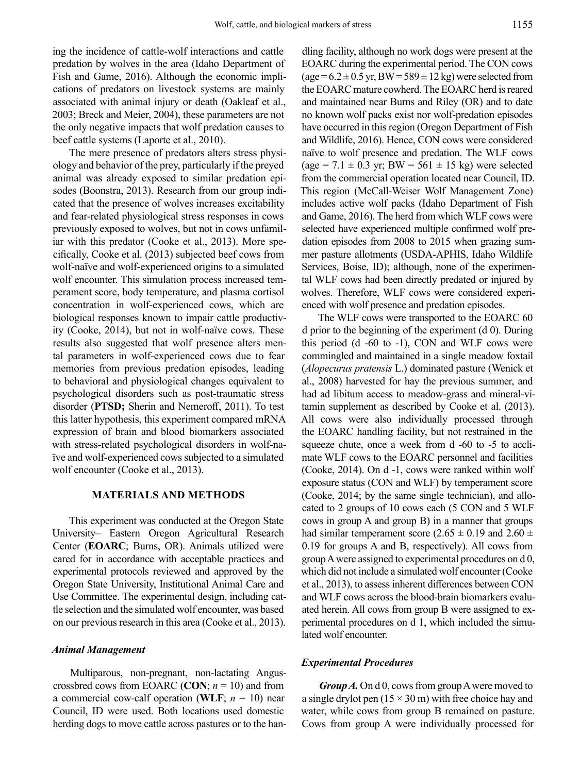ing the incidence of cattle-wolf interactions and cattle predation by wolves in the area (Idaho Department of Fish and Game, 2016). Although the economic implications of predators on livestock systems are mainly associated with animal injury or death (Oakleaf et al., 2003; Breck and Meier, 2004), these parameters are not the only negative impacts that wolf predation causes to beef cattle systems (Laporte et al., 2010).

The mere presence of predators alters stress physiology and behavior of the prey, particularly if the preyed animal was already exposed to similar predation episodes (Boonstra, 2013). Research from our group indicated that the presence of wolves increases excitability and fear-related physiological stress responses in cows previously exposed to wolves, but not in cows unfamiliar with this predator (Cooke et al., 2013). More specifically, Cooke et al. (2013) subjected beef cows from wolf-naïve and wolf-experienced origins to a simulated wolf encounter. This simulation process increased temperament score, body temperature, and plasma cortisol concentration in wolf-experienced cows, which are biological responses known to impair cattle productivity (Cooke, 2014), but not in wolf-naïve cows. These results also suggested that wolf presence alters mental parameters in wolf-experienced cows due to fear memories from previous predation episodes, leading to behavioral and physiological changes equivalent to psychological disorders such as post-traumatic stress disorder (**PTSD;** Sherin and Nemeroff, 2011). To test this latter hypothesis, this experiment compared mRNA expression of brain and blood biomarkers associated with stress-related psychological disorders in wolf-naïve and wolf-experienced cows subjected to a simulated wolf encounter (Cooke et al., 2013).

# **MATERIALS AND METHODS**

This experiment was conducted at the Oregon State University– Eastern Oregon Agricultural Research Center (**EOARC**; Burns, OR). Animals utilized were cared for in accordance with acceptable practices and experimental protocols reviewed and approved by the Oregon State University, Institutional Animal Care and Use Committee. The experimental design, including cattle selection and the simulated wolf encounter, was based on our previous research in this area (Cooke et al., 2013).

# *Animal Management*

Multiparous, non-pregnant, non-lactating Anguscrossbred cows from EOARC (**CON**;  $n = 10$ ) and from a commercial cow-calf operation (**WLF**; *n* = 10) near Council, ID were used. Both locations used domestic herding dogs to move cattle across pastures or to the han-

dling facility, although no work dogs were present at the EOARC during the experimental period. The CON cows  $(age=6.2\pm0.5 \text{ yr}, BW=589\pm12 \text{ kg})$  were selected from the EOARC mature cowherd. The EOARC herd is reared and maintained near Burns and Riley (OR) and to date no known wolf packs exist nor wolf-predation episodes have occurred in this region (Oregon Department of Fish and Wildlife, 2016). Hence, CON cows were considered naïve to wolf presence and predation. The WLF cows  $(age = 7.1 \pm 0.3 \text{ yr}; BW = 561 \pm 15 \text{ kg})$  were selected from the commercial operation located near Council, ID. This region (McCall-Weiser Wolf Management Zone) includes active wolf packs (Idaho Department of Fish and Game, 2016). The herd from which WLF cows were selected have experienced multiple confirmed wolf predation episodes from 2008 to 2015 when grazing summer pasture allotments (USDA-APHIS, Idaho Wildlife Services, Boise, ID); although, none of the experimental WLF cows had been directly predated or injured by wolves. Therefore, WLF cows were considered experienced with wolf presence and predation episodes.

The WLF cows were transported to the EOARC 60 d prior to the beginning of the experiment (d 0). During this period (d -60 to -1), CON and WLF cows were commingled and maintained in a single meadow foxtail (*Alopecurus pratensis* L.) dominated pasture (Wenick et al., 2008) harvested for hay the previous summer, and had ad libitum access to meadow-grass and mineral-vitamin supplement as described by Cooke et al. (2013). All cows were also individually processed through the EOARC handling facility, but not restrained in the squeeze chute, once a week from d -60 to -5 to acclimate WLF cows to the EOARC personnel and facilities (Cooke, 2014). On d -1, cows were ranked within wolf exposure status (CON and WLF) by temperament score (Cooke, 2014; by the same single technician), and allocated to 2 groups of 10 cows each (5 CON and 5 WLF cows in group A and group B) in a manner that groups had similar temperament score (2.65  $\pm$  0.19 and 2.60  $\pm$ 0.19 for groups A and B, respectively). All cows from group A were assigned to experimental procedures on d 0, which did not include a simulated wolf encounter (Cooke et al., 2013), to assess inherent differences between CON and WLF cows across the blood-brain biomarkers evaluated herein. All cows from group B were assigned to experimental procedures on d 1, which included the simulated wolf encounter.

# *Experimental Procedures*

*Group A*. On d 0, cows from group A were moved to a single drylot pen  $(15 \times 30 \text{ m})$  with free choice hay and water, while cows from group B remained on pasture. Cows from group A were individually processed for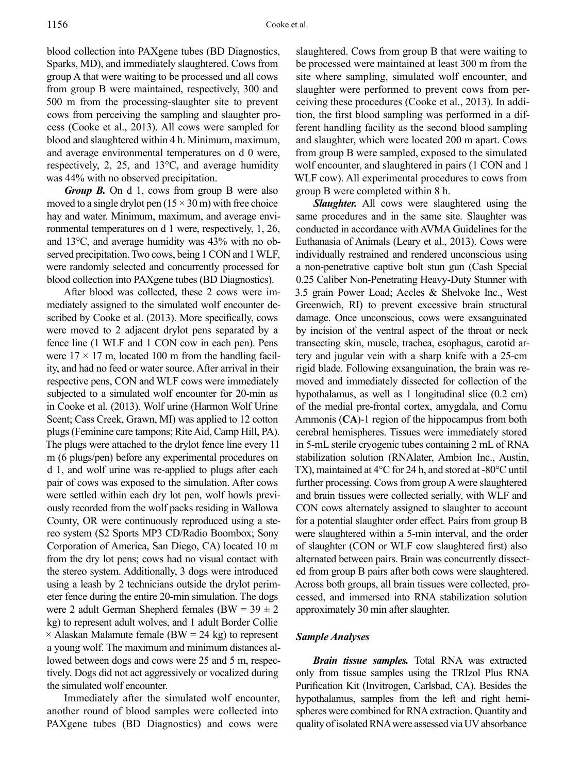blood collection into PAXgene tubes (BD Diagnostics, Sparks, MD), and immediately slaughtered. Cows from group A that were waiting to be processed and all cows from group B were maintained, respectively, 300 and 500 m from the processing-slaughter site to prevent cows from perceiving the sampling and slaughter process (Cooke et al., 2013). All cows were sampled for blood and slaughtered within 4 h. Minimum, maximum, and average environmental temperatures on d 0 were, respectively, 2, 25, and 13°C, and average humidity was 44% with no observed precipitation.

*Group B.* On d 1, cows from group B were also moved to a single drylot pen  $(15 \times 30 \text{ m})$  with free choice hay and water. Minimum, maximum, and average environmental temperatures on d 1 were, respectively, 1, 26, and 13°C, and average humidity was 43% with no observed precipitation. Two cows, being 1 CON and 1 WLF, were randomly selected and concurrently processed for blood collection into PAXgene tubes (BD Diagnostics).

After blood was collected, these 2 cows were immediately assigned to the simulated wolf encounter described by Cooke et al. (2013). More specifically, cows were moved to 2 adjacent drylot pens separated by a fence line (1 WLF and 1 CON cow in each pen). Pens were  $17 \times 17$  m, located 100 m from the handling facility, and had no feed or water source. After arrival in their respective pens, CON and WLF cows were immediately subjected to a simulated wolf encounter for 20-min as in Cooke et al. (2013). Wolf urine (Harmon Wolf Urine Scent; Cass Creek, Grawn, MI) was applied to 12 cotton plugs (Feminine care tampons; Rite Aid, Camp Hill, PA). The plugs were attached to the drylot fence line every 11 m (6 plugs/pen) before any experimental procedures on d 1, and wolf urine was re-applied to plugs after each pair of cows was exposed to the simulation. After cows were settled within each dry lot pen, wolf howls previously recorded from the wolf packs residing in Wallowa County, OR were continuously reproduced using a stereo system (S2 Sports MP3 CD/Radio Boombox; Sony Corporation of America, San Diego, CA) located 10 m from the dry lot pens; cows had no visual contact with the stereo system. Additionally, 3 dogs were introduced using a leash by 2 technicians outside the drylot perimeter fence during the entire 20-min simulation. The dogs were 2 adult German Shepherd females (BW =  $39 \pm 2$ ) kg) to represent adult wolves, and 1 adult Border Collie  $\times$  Alaskan Malamute female (BW = 24 kg) to represent a young wolf. The maximum and minimum distances allowed between dogs and cows were 25 and 5 m, respectively. Dogs did not act aggressively or vocalized during the simulated wolf encounter.

Immediately after the simulated wolf encounter, another round of blood samples were collected into PAXgene tubes (BD Diagnostics) and cows were

slaughtered. Cows from group B that were waiting to be processed were maintained at least 300 m from the site where sampling, simulated wolf encounter, and slaughter were performed to prevent cows from perceiving these procedures (Cooke et al., 2013). In addition, the first blood sampling was performed in a different handling facility as the second blood sampling and slaughter, which were located 200 m apart. Cows from group B were sampled, exposed to the simulated wolf encounter, and slaughtered in pairs (1 CON and 1 WLF cow). All experimental procedures to cows from group B were completed within 8 h.

*Slaughter.* All cows were slaughtered using the same procedures and in the same site. Slaughter was conducted in accordance with AVMA Guidelines for the Euthanasia of Animals (Leary et al., 2013). Cows were individually restrained and rendered unconscious using a non-penetrative captive bolt stun gun (Cash Special 0.25 Caliber Non-Penetrating Heavy-Duty Stunner with 3.5 grain Power Load; Accles & Shelvoke Inc., West Greenwich, RI) to prevent excessive brain structural damage. Once unconscious, cows were exsanguinated by incision of the ventral aspect of the throat or neck transecting skin, muscle, trachea, esophagus, carotid artery and jugular vein with a sharp knife with a 25-cm rigid blade. Following exsanguination, the brain was removed and immediately dissected for collection of the hypothalamus, as well as 1 longitudinal slice (0.2 cm) of the medial pre-frontal cortex, amygdala, and Cornu Ammonis (**CA**)-1 region of the hippocampus from both cerebral hemispheres. Tissues were immediately stored in 5-mL sterile cryogenic tubes containing 2 mL of RNA stabilization solution (RNAlater, Ambion Inc., Austin, TX), maintained at 4°C for 24 h, and stored at -80°C until further processing. Cows from group A were slaughtered and brain tissues were collected serially, with WLF and CON cows alternately assigned to slaughter to account for a potential slaughter order effect. Pairs from group B were slaughtered within a 5-min interval, and the order of slaughter (CON or WLF cow slaughtered first) also alternated between pairs. Brain was concurrently dissected from group B pairs after both cows were slaughtered. Across both groups, all brain tissues were collected, processed, and immersed into RNA stabilization solution approximately 30 min after slaughter.

## *Sample Analyses*

*Brain tissue samples.* Total RNA was extracted only from tissue samples using the TRIzol Plus RNA Purification Kit (Invitrogen, Carlsbad, CA). Besides the hypothalamus, samples from the left and right hemispheres were combined for RNA extraction. Quantity and quality of isolated RNA were assessed via UV absorbance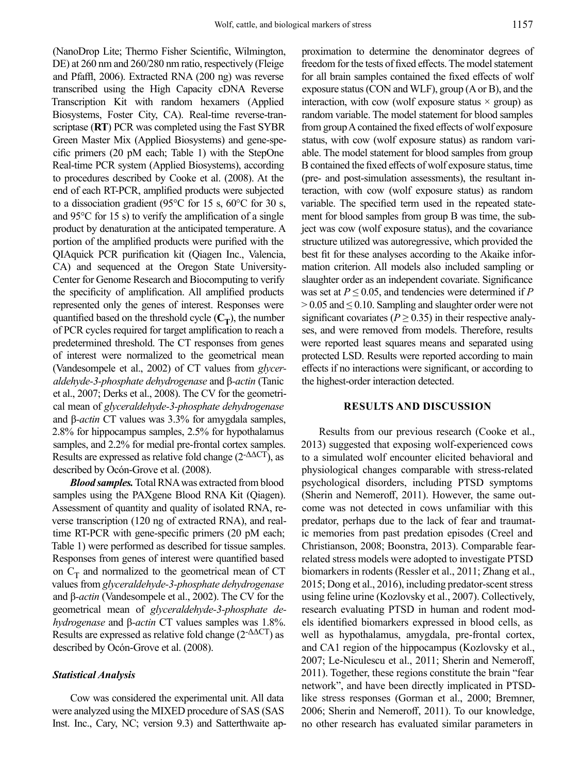(NanoDrop Lite; Thermo Fisher Scientific, Wilmington, DE) at 260 nm and 260/280 nm ratio, respectively (Fleige and Pfaffl, 2006). Extracted RNA (200 ng) was reverse transcribed using the High Capacity cDNA Reverse Transcription Kit with random hexamers (Applied Biosystems, Foster City, CA). Real-time reverse-transcriptase (**RT**) PCR was completed using the Fast SYBR Green Master Mix (Applied Biosystems) and gene-specific primers (20 pM each; Table 1) with the StepOne Real-time PCR system (Applied Biosystems), according to procedures described by Cooke et al. (2008). At the end of each RT-PCR, amplified products were subjected to a dissociation gradient (95°C for 15 s, 60°C for 30 s, and 95°C for 15 s) to verify the amplification of a single product by denaturation at the anticipated temperature. A portion of the amplified products were purified with the QIAquick PCR purification kit (Qiagen Inc., Valencia, CA) and sequenced at the Oregon State University-Center for Genome Research and Biocomputing to verify the specificity of amplification. All amplified products represented only the genes of interest. Responses were quantified based on the threshold cycle  $(C_T)$ , the number of PCR cycles required for target amplification to reach a predetermined threshold. The CT responses from genes of interest were normalized to the geometrical mean (Vandesompele et al., 2002) of CT values from *glyceraldehyde-3-phosphate dehydrogenase* and β*-actin* (Tanic et al., 2007; Derks et al., 2008). The CV for the geometrical mean of *glyceraldehyde-3-phosphate dehydrogenase* and β*-actin* CT values was 3.3% for amygdala samples, 2.8% for hippocampus samples, 2.5% for hypothalamus samples, and 2.2% for medial pre-frontal cortex samples. Results are expressed as relative fold change  $(2^{-\Delta\Delta CT})$ , as described by Ocón-Grove et al. (2008).

*Blood samples.* Total RNA was extracted from blood samples using the PAXgene Blood RNA Kit (Qiagen). Assessment of quantity and quality of isolated RNA, reverse transcription (120 ng of extracted RNA), and realtime RT-PCR with gene-specific primers (20 pM each; Table 1) were performed as described for tissue samples. Responses from genes of interest were quantified based on  $C_T$  and normalized to the geometrical mean of CT values from *glyceraldehyde-3-phosphate dehydrogenase* and β*-actin* (Vandesompele et al., 2002). The CV for the geometrical mean of *glyceraldehyde-3-phosphate dehydrogenase* and β*-actin* CT values samples was 1.8%. Results are expressed as relative fold change  $(2^{-\Delta\Delta CT})$  as described by Ocón-Grove et al. (2008).

#### *Statistical Analysis*

Cow was considered the experimental unit. All data were analyzed using the MIXED procedure of SAS (SAS Inst. Inc., Cary, NC; version 9.3) and Satterthwaite ap-

proximation to determine the denominator degrees of freedom for the tests of fixed effects. The model statement for all brain samples contained the fixed effects of wolf exposure status (CON and WLF), group (A or B), and the interaction, with cow (wolf exposure status  $\times$  group) as random variable. The model statement for blood samples from group A contained the fixed effects of wolf exposure status, with cow (wolf exposure status) as random variable. The model statement for blood samples from group B contained the fixed effects of wolf exposure status, time (pre- and post-simulation assessments), the resultant interaction, with cow (wolf exposure status) as random variable. The specified term used in the repeated statement for blood samples from group B was time, the subject was cow (wolf exposure status), and the covariance structure utilized was autoregressive, which provided the best fit for these analyses according to the Akaike information criterion. All models also included sampling or slaughter order as an independent covariate. Significance was set at  $P \leq 0.05$ , and tendencies were determined if *P*  $> 0.05$  and  $\leq 0.10$ . Sampling and slaughter order were not significant covariates ( $P \ge 0.35$ ) in their respective analyses, and were removed from models. Therefore, results were reported least squares means and separated using protected LSD. Results were reported according to main effects if no interactions were significant, or according to the highest-order interaction detected.

#### **RESULTS AND DISCUSSION**

Results from our previous research (Cooke et al., 2013) suggested that exposing wolf-experienced cows to a simulated wolf encounter elicited behavioral and physiological changes comparable with stress-related psychological disorders, including PTSD symptoms (Sherin and Nemeroff, 2011). However, the same outcome was not detected in cows unfamiliar with this predator, perhaps due to the lack of fear and traumatic memories from past predation episodes (Creel and Christianson, 2008; Boonstra, 2013). Comparable fearrelated stress models were adopted to investigate PTSD biomarkers in rodents (Ressler et al., 2011; Zhang et al., 2015; Dong et al., 2016), including predator-scent stress using feline urine (Kozlovsky et al., 2007). Collectively, research evaluating PTSD in human and rodent models identified biomarkers expressed in blood cells, as well as hypothalamus, amygdala, pre-frontal cortex, and CA1 region of the hippocampus (Kozlovsky et al., 2007; Le-Niculescu et al., 2011; Sherin and Nemeroff, 2011). Together, these regions constitute the brain "fear network", and have been directly implicated in PTSDlike stress responses (Gorman et al., 2000; Bremner, 2006; Sherin and Nemeroff, 2011). To our knowledge, no other research has evaluated similar parameters in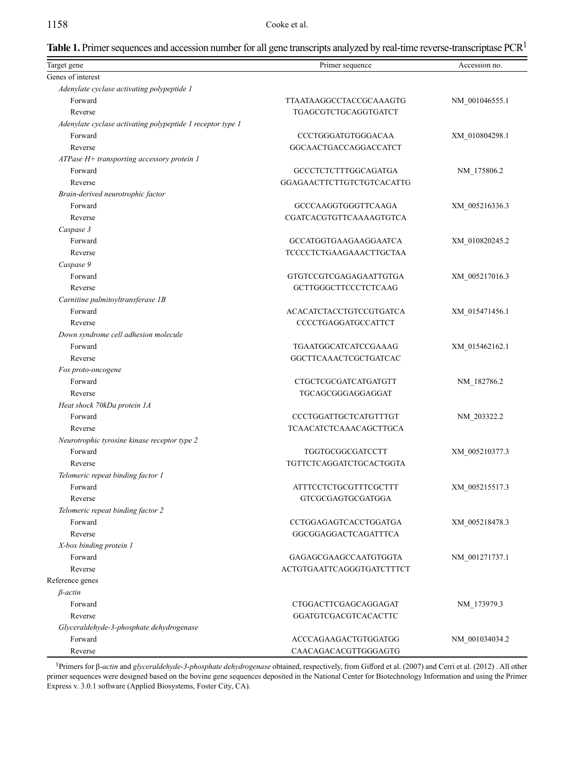| <b>Table 1.</b> Primer sequences and accession number for all gene transcripts analyzed by real-time reverse-transcriptase PCR $^1$ |  |  |  |  |  |  |
|-------------------------------------------------------------------------------------------------------------------------------------|--|--|--|--|--|--|
|                                                                                                                                     |  |  |  |  |  |  |

| Target gene                                                | Primer sequence                | Accession no.  |
|------------------------------------------------------------|--------------------------------|----------------|
| Genes of interest                                          |                                |                |
| Adenylate cyclase activating polypeptide 1                 |                                |                |
| Forward                                                    | TTAATAAGGCCTACCGCAAAGTG        | NM 001046555.1 |
| Reverse                                                    | TGAGCGTCTGCAGGTGATCT           |                |
| Adenylate cyclase activating polypeptide 1 receptor type 1 |                                |                |
| Forward                                                    | CCCTGGGATGTGGGACAA             | XM 010804298.1 |
| Reverse                                                    | GGCAACTGACCAGGACCATCT          |                |
| $ATPase H+$ transporting accessory protein $I$             |                                |                |
| Forward                                                    | <b>GCCCTCTCTTTGGCAGATGA</b>    | NM 175806.2    |
| Reverse                                                    | GGAGAACTTCTTGTCTGTCACATTG      |                |
| Brain-derived neurotrophic factor                          |                                |                |
| Forward                                                    | GCCCAAGGTGGGTTCAAGA            | XM 005216336.3 |
| Reverse                                                    | CGATCACGTGTTCAAAAGTGTCA        |                |
| Caspase 3                                                  |                                |                |
| Forward                                                    | <b>GCCATGGTGAAGAAGGAATCA</b>   | XM 010820245.2 |
| Reverse                                                    | TCCCCTCTGAAGAAACTTGCTAA        |                |
| Caspase 9                                                  |                                |                |
| Forward                                                    | GTGTCCGTCGAGAGAATTGTGA         | XM 005217016.3 |
| Reverse                                                    | GCTTGGGCTTCCCTCTCAAG           |                |
| Carnitine palmitoyltransferase 1B                          |                                |                |
| Forward                                                    | <b>ACACATCTACCTGTCCGTGATCA</b> | XM 015471456.1 |
| Reverse                                                    | <b>CCCCTGAGGATGCCATTCT</b>     |                |
| Down syndrome cell adhesion molecule                       |                                |                |
| Forward                                                    | TGAATGGCATCATCCGAAAG           | XM 015462162.1 |
| Reverse                                                    | GGCTTCAAACTCGCTGATCAC          |                |
| Fos proto-oncogene                                         |                                |                |
| Forward                                                    | CTGCTCGCGATCATGATGTT           | NM 182786.2    |
| Reverse                                                    | TGCAGCGGGAGGAGGAT              |                |
| Heat shock 70kDa protein 1A                                |                                |                |
| Forward                                                    | CCCTGGATTGCTCATGTTTGT          | NM 203322.2    |
| Reverse                                                    | TCAACATCTCAAACAGCTTGCA         |                |
| Neurotrophic tyrosine kinase receptor type 2               |                                |                |
| Forward                                                    | <b>TGGTGCGGCGATCCTT</b>        | XM 005210377.3 |
| Reverse                                                    | <b>TGTTCTCAGGATCTGCACTGGTA</b> |                |
| Telomeric repeat binding factor 1                          |                                |                |
| Forward                                                    | <b>ATTTCCTCTGCGTTTCGCTTT</b>   | XM 005215517.3 |
| Reverse                                                    | <b>GTCGCGAGTGCGATGGA</b>       |                |
| Telomeric repeat binding factor 2                          |                                |                |
| Forward                                                    | CCTGGAGAGTCACCTGGATGA          | XM 005218478.3 |
| Reverse                                                    | GGCGGAGGACTCAGATTTCA           |                |
| X-box binding protein 1                                    |                                |                |
| Forward                                                    | GAGAGCGAAGCCAATGTGGTA          | NM 001271737.1 |
| Reverse                                                    | ACTGTGAATTCAGGGTGATCTTTCT      |                |
| Reference genes                                            |                                |                |
| $β-actin$                                                  |                                |                |
| Forward                                                    | CTGGACTTCGAGCAGGAGAT           | NM 173979.3    |
| Reverse                                                    | GGATGTCGACGTCACACTTC           |                |
| Glyceraldehyde-3-phosphate dehydrogenase                   |                                |                |
| Forward                                                    | ACCCAGAAGACTGTGGATGG           | NM 001034034.2 |
| Reverse                                                    | CAACAGACACGTTGGGAGTG           |                |

<sup>1</sup>Primers for β*-actin* and *glyceraldehyde-3-phosphate dehydrogenase* obtained, respectively, from Gifford et al. (2007) and Cerri et al. (2012) . All other primer sequences were designed based on the bovine gene sequences deposited in the National Center for Biotechnology Information and using the Primer Express v. 3.0.1 software (Applied Biosystems, Foster City, CA).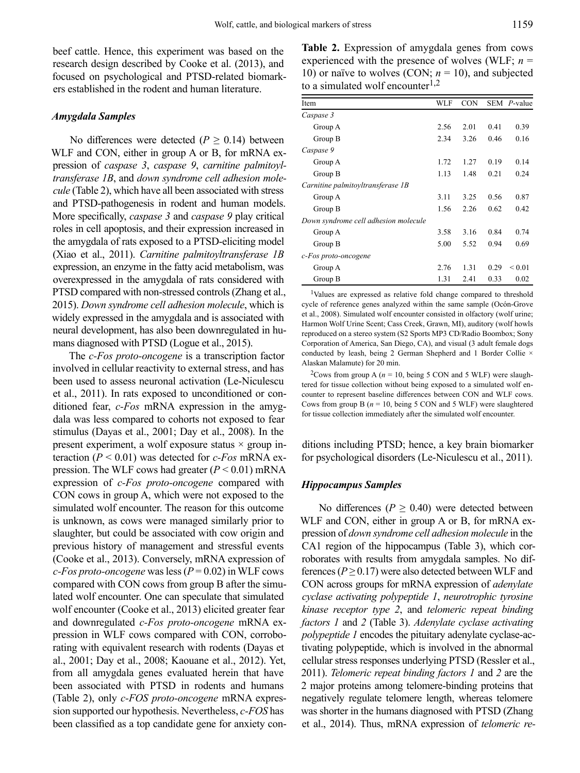beef cattle. Hence, this experiment was based on the research design described by Cooke et al. (2013), and focused on psychological and PTSD-related biomarkers established in the rodent and human literature.

### *Amygdala Samples*

No differences were detected  $(P \ge 0.14)$  between WLF and CON, either in group A or B, for mRNA expression of *caspase 3*, *caspase 9*, *carnitine palmitoyltransferase 1B*, and *down syndrome cell adhesion molecule* (Table 2), which have all been associated with stress and PTSD-pathogenesis in rodent and human models. More specifically, *caspase 3* and *caspase 9* play critical roles in cell apoptosis, and their expression increased in the amygdala of rats exposed to a PTSD-eliciting model (Xiao et al., 2011). *Carnitine palmitoyltransferase 1B* expression, an enzyme in the fatty acid metabolism, was overexpressed in the amygdala of rats considered with PTSD compared with non-stressed controls (Zhang et al., 2015). *Down syndrome cell adhesion molecule*, which is widely expressed in the amygdala and is associated with neural development, has also been downregulated in humans diagnosed with PTSD (Logue et al., 2015).

The *c-Fos proto-oncogene* is a transcription factor involved in cellular reactivity to external stress, and has been used to assess neuronal activation (Le-Niculescu et al., 2011). In rats exposed to unconditioned or conditioned fear, *c-Fos* mRNA expression in the amygdala was less compared to cohorts not exposed to fear stimulus (Dayas et al., 2001; Day et al., 2008). In the present experiment, a wolf exposure status  $\times$  group interaction (*P* < 0.01) was detected for *c-Fos* mRNA expression. The WLF cows had greater  $(P < 0.01)$  mRNA expression of *c-Fos proto-oncogene* compared with CON cows in group A, which were not exposed to the simulated wolf encounter. The reason for this outcome is unknown, as cows were managed similarly prior to slaughter, but could be associated with cow origin and previous history of management and stressful events (Cooke et al., 2013). Conversely, mRNA expression of *c*-Fos proto-oncogene was less ( $P = 0.02$ ) in WLF cows compared with CON cows from group B after the simulated wolf encounter. One can speculate that simulated wolf encounter (Cooke et al., 2013) elicited greater fear and downregulated *c-Fos proto-oncogene* mRNA expression in WLF cows compared with CON, corroborating with equivalent research with rodents (Dayas et al., 2001; Day et al., 2008; Kaouane et al., 2012). Yet, from all amygdala genes evaluated herein that have been associated with PTSD in rodents and humans (Table 2), only *c-FOS proto-oncogene* mRNA expression supported our hypothesis. Nevertheless, *c-FOS* has been classified as a top candidate gene for anxiety con-

**Table 2.** Expression of amygdala genes from cows experienced with the presence of wolves (WLF;  $n =$ 10) or naïve to wolves (CON;  $n = 10$ ), and subjected to a simulated wolf encounter<sup>1,2</sup>

| Item                                 | WLF  | <b>CON</b> |      | SEM P-value |
|--------------------------------------|------|------------|------|-------------|
| Caspase 3                            |      |            |      |             |
| Group A                              | 2.56 | 2.01       | 0.41 | 0.39        |
| Group B                              | 2.34 | 3.26       | 0.46 | 0.16        |
| Caspase 9                            |      |            |      |             |
| Group A                              | 1.72 | 1.27       | 0.19 | 0.14        |
| Group B                              | 1.13 | 1.48       | 0.21 | 0.24        |
| Carnitine palmitoyltransferase 1B    |      |            |      |             |
| Group A                              | 3.11 | 3.25       | 0.56 | 0.87        |
| Group B                              | 1.56 | 2.26       | 0.62 | 0.42        |
| Down syndrome cell adhesion molecule |      |            |      |             |
| Group A                              | 3.58 | 3.16       | 0.84 | 0.74        |
| Group B                              | 5.00 | 5.52       | 0.94 | 0.69        |
| c-Fos proto-oncogene                 |      |            |      |             |
| Group A                              | 2.76 | 1.31       | 0.29 | ${}_{0.01}$ |
| Group B                              | 1.31 | 2.41       | 0.33 | 0.02        |

<sup>1</sup>Values are expressed as relative fold change compared to threshold cycle of reference genes analyzed within the same sample (Ocón-Grove et al., 2008). Simulated wolf encounter consisted in olfactory (wolf urine; Harmon Wolf Urine Scent; Cass Creek, Grawn, MI), auditory (wolf howls reproduced on a stereo system (S2 Sports MP3 CD/Radio Boombox; Sony Corporation of America, San Diego, CA), and visual (3 adult female dogs conducted by leash, being 2 German Shepherd and 1 Border Collie × Alaskan Malamute) for 20 min.

<sup>2</sup>Cows from group A ( $n = 10$ , being 5 CON and 5 WLF) were slaughtered for tissue collection without being exposed to a simulated wolf encounter to represent baseline differences between CON and WLF cows. Cows from group B ( $n = 10$ , being 5 CON and 5 WLF) were slaughtered for tissue collection immediately after the simulated wolf encounter.

ditions including PTSD; hence, a key brain biomarker for psychological disorders (Le-Niculescu et al., 2011).

#### *Hippocampus Samples*

No differences ( $P \geq 0.40$ ) were detected between WLF and CON, either in group A or B, for mRNA expression of *down syndrome cell adhesion molecule* in the CA1 region of the hippocampus (Table 3), which corroborates with results from amygdala samples. No differences ( $P \ge 0.17$ ) were also detected between WLF and CON across groups for mRNA expression of *adenylate cyclase activating polypeptide 1*, *neurotrophic tyrosine kinase receptor type 2*, and *telomeric repeat binding factors 1* and *2* (Table 3). *Adenylate cyclase activating polypeptide 1* encodes the pituitary adenylate cyclase-activating polypeptide, which is involved in the abnormal cellular stress responses underlying PTSD (Ressler et al., 2011). *Telomeric repeat binding factors 1* and *2* are the 2 major proteins among telomere-binding proteins that negatively regulate telomere length, whereas telomere was shorter in the humans diagnosed with PTSD (Zhang et al., 2014). Thus, mRNA expression of *telomeric re-*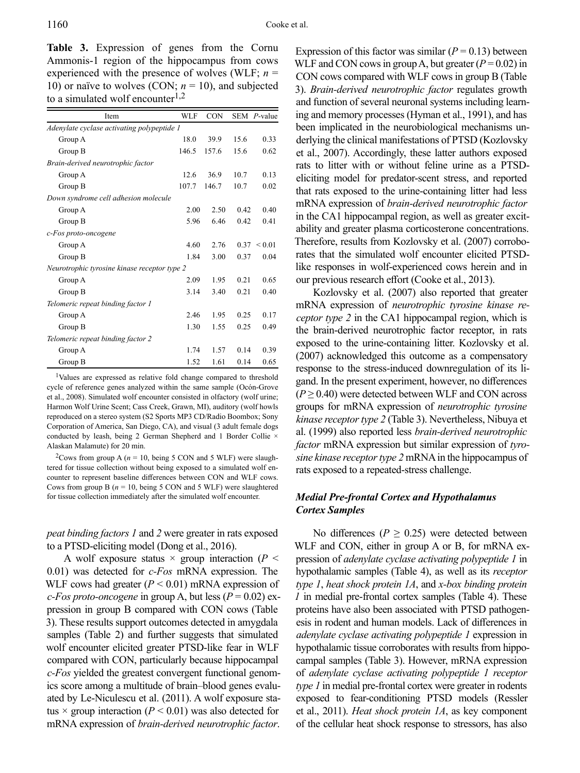**Table 3.** Expression of genes from the Cornu Ammonis-1 region of the hippocampus from cows experienced with the presence of wolves (WLF; *n* = 10) or naïve to wolves (CON;  $n = 10$ ), and subjected to a simulated wolf encounter<sup>1,2</sup>

| Item                                         | WLF   | <b>CON</b> |      | SEM P-value |  |  |  |
|----------------------------------------------|-------|------------|------|-------------|--|--|--|
| Adenylate cyclase activating polypeptide 1   |       |            |      |             |  |  |  |
| Group A                                      | 18.0  | 39.9       | 15.6 | 0.33        |  |  |  |
| Group B                                      | 146.5 | 157.6      | 15.6 | 0.62        |  |  |  |
| Brain-derived neurotrophic factor            |       |            |      |             |  |  |  |
| Group A                                      | 12.6  | 36.9       | 10.7 | 0.13        |  |  |  |
| Group B                                      | 107.7 | 146.7      | 10.7 | 0.02        |  |  |  |
| Down syndrome cell adhesion molecule         |       |            |      |             |  |  |  |
| Group A                                      | 2.00  | 2.50       | 0.42 | 0.40        |  |  |  |
| Group B                                      | 5.96  | 6.46       | 0.42 | 0.41        |  |  |  |
| c-Fos proto-oncogene                         |       |            |      |             |  |  |  |
| Group A                                      | 4.60  | 2.76       | 0.37 | ${}_{0.01}$ |  |  |  |
| Group B                                      | 1.84  | 3.00       | 0.37 | 0.04        |  |  |  |
| Neurotrophic tyrosine kinase receptor type 2 |       |            |      |             |  |  |  |
| Group A                                      | 2.09  | 1.95       | 0.21 | 0.65        |  |  |  |
| Group B                                      | 3.14  | 3.40       | 0.21 | 0.40        |  |  |  |
| Telomeric repeat binding factor 1            |       |            |      |             |  |  |  |
| Group A                                      | 2.46  | 1.95       | 0.25 | 0.17        |  |  |  |
| Group B                                      | 1.30  | 1.55       | 0.25 | 0.49        |  |  |  |
| Telomeric repeat binding factor 2            |       |            |      |             |  |  |  |
| Group A                                      | 1.74  | 1.57       | 0.14 | 0.39        |  |  |  |
| Group B                                      | 1.52  | 1.61       | 0.14 | 0.65        |  |  |  |

<sup>1</sup>Values are expressed as relative fold change compared to threshold cycle of reference genes analyzed within the same sample (Ocón-Grove et al., 2008). Simulated wolf encounter consisted in olfactory (wolf urine; Harmon Wolf Urine Scent; Cass Creek, Grawn, MI), auditory (wolf howls reproduced on a stereo system (S2 Sports MP3 CD/Radio Boombox; Sony Corporation of America, San Diego, CA), and visual (3 adult female dogs conducted by leash, being 2 German Shepherd and 1 Border Collie × Alaskan Malamute) for 20 min.

<sup>2</sup>Cows from group A ( $n = 10$ , being 5 CON and 5 WLF) were slaughtered for tissue collection without being exposed to a simulated wolf encounter to represent baseline differences between CON and WLF cows. Cows from group B ( $n = 10$ , being 5 CON and 5 WLF) were slaughtered for tissue collection immediately after the simulated wolf encounter.

*peat binding factors 1* and *2* were greater in rats exposed to a PTSD-eliciting model (Dong et al., 2016).

A wolf exposure status  $\times$  group interaction ( $P \leq$ 0.01) was detected for *c-Fos* mRNA expression. The WLF cows had greater  $(P < 0.01)$  mRNA expression of *c-Fos proto-oncogene* in group A, but less  $(P = 0.02)$  expression in group B compared with CON cows (Table 3). These results support outcomes detected in amygdala samples (Table 2) and further suggests that simulated wolf encounter elicited greater PTSD-like fear in WLF compared with CON, particularly because hippocampal *c-Fos* yielded the greatest convergent functional genomics score among a multitude of brain–blood genes evaluated by Le-Niculescu et al. (2011). A wolf exposure status  $\times$  group interaction ( $P < 0.01$ ) was also detected for mRNA expression of *brain-derived neurotrophic factor*.

Expression of this factor was similar  $(P = 0.13)$  between WLF and CON cows in group A, but greater  $(P = 0.02)$  in CON cows compared with WLF cows in group B (Table 3). *Brain-derived neurotrophic factor* regulates growth and function of several neuronal systems including learning and memory processes (Hyman et al., 1991), and has been implicated in the neurobiological mechanisms underlying the clinical manifestations of PTSD (Kozlovsky et al., 2007). Accordingly, these latter authors exposed rats to litter with or without feline urine as a PTSDeliciting model for predator-scent stress, and reported that rats exposed to the urine-containing litter had less mRNA expression of *brain-derived neurotrophic factor* in the CA1 hippocampal region, as well as greater excitability and greater plasma corticosterone concentrations. Therefore, results from Kozlovsky et al. (2007) corroborates that the simulated wolf encounter elicited PTSDlike responses in wolf-experienced cows herein and in our previous research effort (Cooke et al., 2013).

Kozlovsky et al. (2007) also reported that greater mRNA expression of *neurotrophic tyrosine kinase receptor type 2* in the CA1 hippocampal region, which is the brain-derived neurotrophic factor receptor, in rats exposed to the urine-containing litter. Kozlovsky et al. (2007) acknowledged this outcome as a compensatory response to the stress-induced downregulation of its ligand. In the present experiment, however, no differences  $(P \ge 0.40)$  were detected between WLF and CON across groups for mRNA expression of *neurotrophic tyrosine kinase receptor type 2* (Table 3). Nevertheless, Nibuya et al. (1999) also reported less *brain-derived neurotrophic factor* mRNA expression but similar expression of *tyrosine kinase receptor type 2* mRNA in the hippocampus of rats exposed to a repeated-stress challenge.

# *Medial Pre-frontal Cortex and Hypothalamus Cortex Samples*

No differences ( $P \ge 0.25$ ) were detected between WLF and CON, either in group A or B, for mRNA expression of *adenylate cyclase activating polypeptide 1* in hypothalamic samples (Table 4), as well as its *receptor type 1*, *heat shock protein 1A*, and *x-box binding protein 1* in medial pre-frontal cortex samples (Table 4). These proteins have also been associated with PTSD pathogenesis in rodent and human models. Lack of differences in *adenylate cyclase activating polypeptide 1* expression in hypothalamic tissue corroborates with results from hippocampal samples (Table 3). However, mRNA expression of *adenylate cyclase activating polypeptide 1 receptor type 1* in medial pre-frontal cortex were greater in rodents exposed to fear-conditioning PTSD models (Ressler et al., 2011). *Heat shock protein 1A*, as key component of the cellular heat shock response to stressors, has also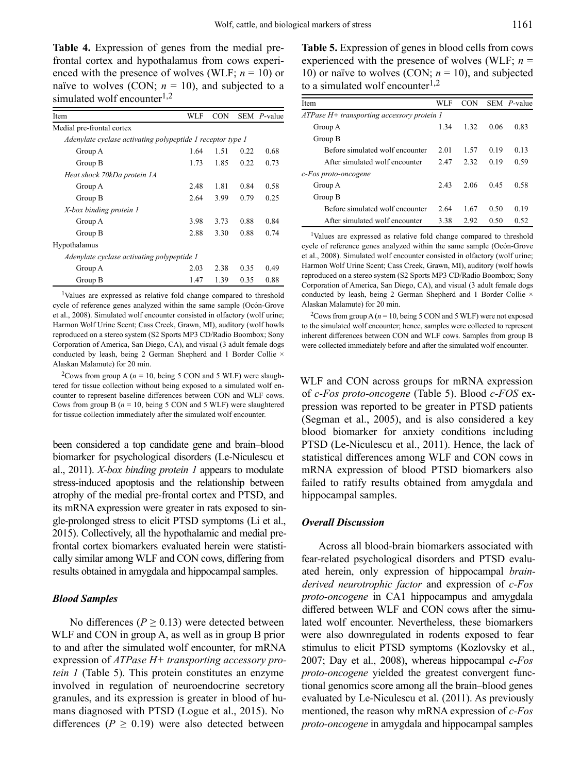**Table 4.** Expression of genes from the medial prefrontal cortex and hypothalamus from cows experienced with the presence of wolves (WLF; *n* = 10) or naïve to wolves (CON;  $n = 10$ ), and subjected to a simulated wolf encounter $1,2$ 

| Item                                                       | WLF  | <b>CON</b> |      | SEM P-value |  |  |
|------------------------------------------------------------|------|------------|------|-------------|--|--|
| Medial pre-frontal cortex                                  |      |            |      |             |  |  |
| Adenylate cyclase activating polypeptide 1 receptor type 1 |      |            |      |             |  |  |
| Group A                                                    | 1.64 | 1.51       | 0.22 | 0.68        |  |  |
| Group B                                                    | 1.73 | 1.85       | 0.22 | 0.73        |  |  |
| Heat shock 70kDa protein 1A                                |      |            |      |             |  |  |
| Group A                                                    | 2.48 | 1.81       | 0.84 | 0.58        |  |  |
| Group B                                                    | 2.64 | 3.99       | 0.79 | 0.25        |  |  |
| X-box binding protein 1                                    |      |            |      |             |  |  |
| Group A                                                    | 3.98 | 3.73       | 0.88 | 0.84        |  |  |
| Group B                                                    | 2.88 | 3.30       | 0.88 | 0.74        |  |  |
| Hypothalamus                                               |      |            |      |             |  |  |
| Adenylate cyclase activating polypeptide 1                 |      |            |      |             |  |  |
| Group A                                                    | 2.03 | 2.38       | 0.35 | 0.49        |  |  |
| Group B                                                    | 1.47 | 1.39       | 0.35 | 0.88        |  |  |

<sup>1</sup>Values are expressed as relative fold change compared to threshold cycle of reference genes analyzed within the same sample (Ocón-Grove et al., 2008). Simulated wolf encounter consisted in olfactory (wolf urine; Harmon Wolf Urine Scent; Cass Creek, Grawn, MI), auditory (wolf howls reproduced on a stereo system (S2 Sports MP3 CD/Radio Boombox; Sony Corporation of America, San Diego, CA), and visual (3 adult female dogs conducted by leash, being 2 German Shepherd and 1 Border Collie × Alaskan Malamute) for 20 min.

<sup>2</sup>Cows from group A ( $n = 10$ , being 5 CON and 5 WLF) were slaughtered for tissue collection without being exposed to a simulated wolf encounter to represent baseline differences between CON and WLF cows. Cows from group B (*n* = 10, being 5 CON and 5 WLF) were slaughtered for tissue collection immediately after the simulated wolf encounter.

been considered a top candidate gene and brain–blood biomarker for psychological disorders (Le-Niculescu et al., 2011). *X-box binding protein 1* appears to modulate stress-induced apoptosis and the relationship between atrophy of the medial pre-frontal cortex and PTSD, and its mRNA expression were greater in rats exposed to single-prolonged stress to elicit PTSD symptoms (Li et al., 2015). Collectively, all the hypothalamic and medial prefrontal cortex biomarkers evaluated herein were statistically similar among WLF and CON cows, differing from results obtained in amygdala and hippocampal samples.

#### *Blood Samples*

No differences ( $P \ge 0.13$ ) were detected between WLF and CON in group A, as well as in group B prior to and after the simulated wolf encounter, for mRNA expression of *ATPase H+ transporting accessory protein 1* (Table 5). This protein constitutes an enzyme involved in regulation of neuroendocrine secretory granules, and its expression is greater in blood of humans diagnosed with PTSD (Logue et al., 2015). No differences ( $P \ge 0.19$ ) were also detected between

**Table 5.** Expression of genes in blood cells from cows experienced with the presence of wolves (WLF;  $n =$ 10) or naïve to wolves (CON;  $n = 10$ ), and subjected to a simulated wolf encounter<sup>1,2</sup>

| Item                                         | WLF  | <b>CON</b> |      | SEM P-value |
|----------------------------------------------|------|------------|------|-------------|
| $ATPase H+ transporting$ accessory protein 1 |      |            |      |             |
| Group A                                      | 1.34 | 1.32       | 0.06 | 0.83        |
| Group B                                      |      |            |      |             |
| Before simulated wolf encounter              | 2.01 | 1.57       | 0.19 | 0.13        |
| After simulated wolf encounter               | 2.47 | 2.32       | 0.19 | 0.59        |
| c-Fos proto-oncogene                         |      |            |      |             |
| Group A                                      | 2.43 | 2.06       | 0.45 | 0.58        |
| Group B                                      |      |            |      |             |
| Before simulated wolf encounter              | 2.64 | 1.67       | 0.50 | 0.19        |
| After simulated wolf encounter               | 3.38 | 2.92       | 0.50 | 0.52        |

<sup>1</sup>Values are expressed as relative fold change compared to threshold cycle of reference genes analyzed within the same sample (Ocón-Grove et al., 2008). Simulated wolf encounter consisted in olfactory (wolf urine; Harmon Wolf Urine Scent; Cass Creek, Grawn, MI), auditory (wolf howls reproduced on a stereo system (S2 Sports MP3 CD/Radio Boombox; Sony Corporation of America, San Diego, CA), and visual (3 adult female dogs conducted by leash, being 2 German Shepherd and 1 Border Collie × Alaskan Malamute) for 20 min.

<sup>2</sup>Cows from group A ( $n = 10$ , being 5 CON and 5 WLF) were not exposed to the simulated wolf encounter; hence, samples were collected to represent inherent differences between CON and WLF cows. Samples from group B were collected immediately before and after the simulated wolf encounter.

WLF and CON across groups for mRNA expression of *c-Fos proto-oncogene* (Table 5). Blood *c-FOS* expression was reported to be greater in PTSD patients (Segman et al., 2005), and is also considered a key blood biomarker for anxiety conditions including PTSD (Le-Niculescu et al., 2011). Hence, the lack of statistical differences among WLF and CON cows in mRNA expression of blood PTSD biomarkers also failed to ratify results obtained from amygdala and hippocampal samples.

#### *Overall Discussion*

Across all blood-brain biomarkers associated with fear-related psychological disorders and PTSD evaluated herein, only expression of hippocampal *brainderived neurotrophic factor* and expression of *c-Fos proto-oncogene* in CA1 hippocampus and amygdala differed between WLF and CON cows after the simulated wolf encounter. Nevertheless, these biomarkers were also downregulated in rodents exposed to fear stimulus to elicit PTSD symptoms (Kozlovsky et al., 2007; Day et al., 2008), whereas hippocampal *c-Fos proto-oncogene* yielded the greatest convergent functional genomics score among all the brain–blood genes evaluated by Le-Niculescu et al. (2011). As previously mentioned, the reason why mRNA expression of *c-Fos proto-oncogene* in amygdala and hippocampal samples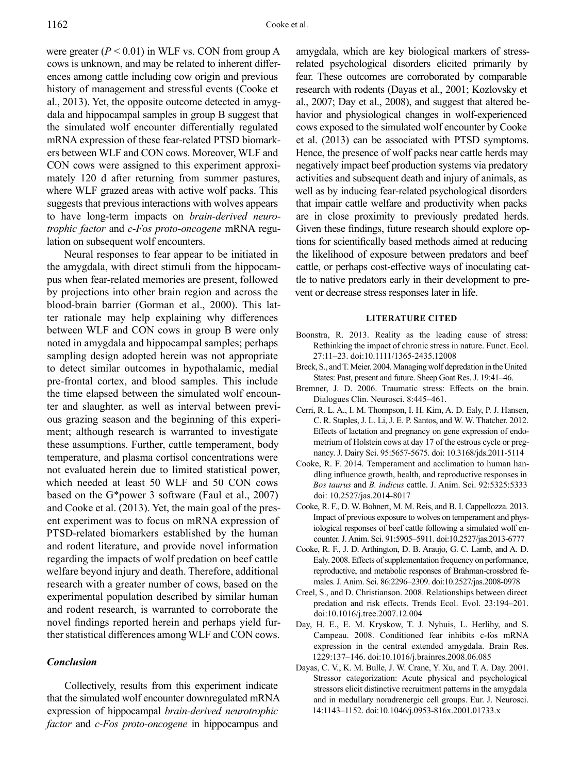were greater  $(P < 0.01)$  in WLF vs. CON from group A cows is unknown, and may be related to inherent differences among cattle including cow origin and previous history of management and stressful events (Cooke et al., 2013). Yet, the opposite outcome detected in amygdala and hippocampal samples in group B suggest that the simulated wolf encounter differentially regulated mRNA expression of these fear-related PTSD biomarkers between WLF and CON cows. Moreover, WLF and CON cows were assigned to this experiment approximately 120 d after returning from summer pastures, where WLF grazed areas with active wolf packs. This suggests that previous interactions with wolves appears to have long-term impacts on *brain-derived neurotrophic factor* and *c-Fos proto-oncogene* mRNA regulation on subsequent wolf encounters.

Neural responses to fear appear to be initiated in the amygdala, with direct stimuli from the hippocampus when fear-related memories are present, followed by projections into other brain region and across the blood-brain barrier (Gorman et al., 2000). This latter rationale may help explaining why differences between WLF and CON cows in group B were only noted in amygdala and hippocampal samples; perhaps sampling design adopted herein was not appropriate to detect similar outcomes in hypothalamic, medial pre-frontal cortex, and blood samples. This include the time elapsed between the simulated wolf encounter and slaughter, as well as interval between previous grazing season and the beginning of this experiment; although research is warranted to investigate these assumptions. Further, cattle temperament, body temperature, and plasma cortisol concentrations were not evaluated herein due to limited statistical power, which needed at least 50 WLF and 50 CON cows based on the G\*power 3 software (Faul et al., 2007) and Cooke et al. (2013). Yet, the main goal of the present experiment was to focus on mRNA expression of PTSD-related biomarkers established by the human and rodent literature, and provide novel information regarding the impacts of wolf predation on beef cattle welfare beyond injury and death. Therefore, additional research with a greater number of cows, based on the experimental population described by similar human and rodent research, is warranted to corroborate the novel findings reported herein and perhaps yield further statistical differences among WLF and CON cows.

# *Conclusion*

Collectively, results from this experiment indicate that the simulated wolf encounter downregulated mRNA expression of hippocampal *brain-derived neurotrophic factor* and *c-Fos proto-oncogene* in hippocampus and

amygdala, which are key biological markers of stressrelated psychological disorders elicited primarily by fear. These outcomes are corroborated by comparable research with rodents (Dayas et al., 2001; Kozlovsky et al., 2007; Day et al., 2008), and suggest that altered behavior and physiological changes in wolf-experienced cows exposed to the simulated wolf encounter by Cooke et al. (2013) can be associated with PTSD symptoms. Hence, the presence of wolf packs near cattle herds may negatively impact beef production systems via predatory activities and subsequent death and injury of animals, as well as by inducing fear-related psychological disorders that impair cattle welfare and productivity when packs are in close proximity to previously predated herds. Given these findings, future research should explore options for scientifically based methods aimed at reducing the likelihood of exposure between predators and beef cattle, or perhaps cost-effective ways of inoculating cattle to native predators early in their development to prevent or decrease stress responses later in life.

#### **LITERATURE CITED**

- Boonstra, R. 2013. Reality as the leading cause of stress: Rethinking the impact of chronic stress in nature. Funct. Ecol. 27:11–23. doi:10.1111/1365-2435.12008
- Breck, S., and T. Meier. 2004. Managing wolf depredation in the United States: Past, present and future. Sheep Goat Res. J. 19:41–46.
- Bremner, J. D. 2006. Traumatic stress: Effects on the brain. Dialogues Clin. Neurosci. 8:445–461.
- Cerri, R. L. A., I. M. Thompson, I. H. Kim, A. D. Ealy, P. J. Hansen, C. R. Staples, J. L. Li, J. E. P. Santos, and W. W. Thatcher. 2012. Effects of lactation and pregnancy on gene expression of endometrium of Holstein cows at day 17 of the estrous cycle or pregnancy. J. Dairy Sci. 95:5657-5675. doi: 10.3168/jds.2011-5114
- Cooke, R. F. 2014. Temperament and acclimation to human handling influence growth, health, and reproductive responses in *Bos taurus* and *B. indicus* cattle. J. Anim. Sci. 92:5325:5333 doi: 10.2527/jas.2014-8017
- Cooke, R. F., D. W. Bohnert, M. M. Reis, and B. I. Cappellozza. 2013. Impact of previous exposure to wolves on temperament and physiological responses of beef cattle following a simulated wolf encounter. J. Anim. Sci. 91:5905–5911. doi:10.2527/jas.2013-6777
- Cooke, R. F., J. D. Arthington, D. B. Araujo, G. C. Lamb, and A. D. Ealy. 2008. Effects of supplementation frequency on performance, reproductive, and metabolic responses of Brahman-crossbred females. J. Anim. Sci. 86:2296–2309. doi:10.2527/jas.2008-0978
- Creel, S., and D. Christianson. 2008. Relationships between direct predation and risk effects. Trends Ecol. Evol. 23:194–201. doi:10.1016/j.tree.2007.12.004
- Day, H. E., E. M. Kryskow, T. J. Nyhuis, L. Herlihy, and S. Campeau. 2008. Conditioned fear inhibits c-fos mRNA expression in the central extended amygdala. Brain Res. 1229:137–146. doi:10.1016/j.brainres.2008.06.085
- Dayas, C. V., K. M. Bulle, J. W. Crane, Y. Xu, and T. A. Day. 2001. Stressor categorization: Acute physical and psychological stressors elicit distinctive recruitment patterns in the amygdala and in medullary noradrenergic cell groups. Eur. J. Neurosci. 14:1143–1152. doi:10.1046/j.0953-816x.2001.01733.x